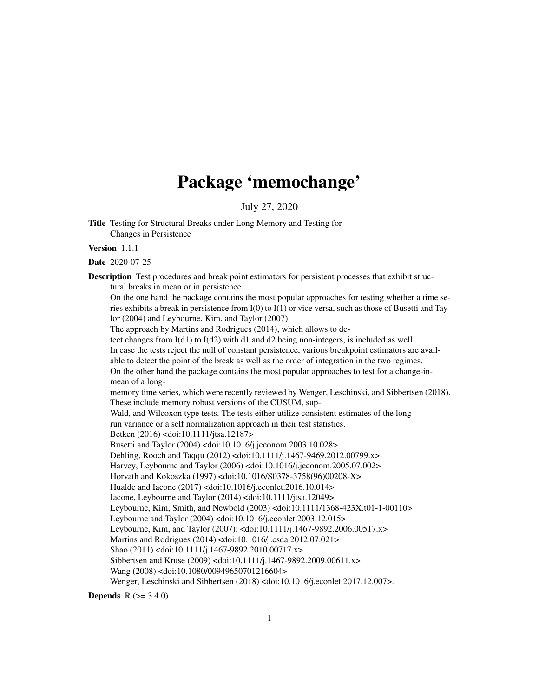# Package 'memochange'

July 27, 2020

Title Testing for Structural Breaks under Long Memory and Testing for Changes in Persistence

Version 1.1.1

Date 2020-07-25

Description Test procedures and break point estimators for persistent processes that exhibit structural breaks in mean or in persistence. On the one hand the package contains the most popular approaches for testing whether a time series exhibits a break in persistence from I(0) to I(1) or vice versa, such as those of Busetti and Tay-

lor (2004) and Leybourne, Kim, and Taylor (2007).

The approach by Martins and Rodrigues (2014), which allows to de-

tect changes from I(d1) to I(d2) with d1 and d2 being non-integers, is included as well.

In case the tests reject the null of constant persistence, various breakpoint estimators are avail-

able to detect the point of the break as well as the order of integration in the two regimes. On the other hand the package contains the most popular approaches to test for a change-inmean of a long-

memory time series, which were recently reviewed by Wenger, Leschinski, and Sibbertsen (2018). These include memory robust versions of the CUSUM, sup-

Wald, and Wilcoxon type tests. The tests either utilize consistent estimates of the longrun variance or a self normalization approach in their test statistics.

Betken (2016) <doi:10.1111/jtsa.12187>

Busetti and Taylor (2004) <doi:10.1016/j.jeconom.2003.10.028> Dehling, Rooch and Taqqu (2012) <doi:10.1111/j.1467-9469.2012.00799.x>

Harvey, Leybourne and Taylor (2006) <doi:10.1016/j.jeconom.2005.07.002>

Horvath and Kokoszka (1997) <doi:10.1016/S0378-3758(96)00208-X>

Hualde and Iacone (2017) <doi:10.1016/j.econlet.2016.10.014>

Iacone, Leybourne and Taylor (2014) <doi:10.1111/jtsa.12049>

Leybourne, Kim, Smith, and Newbold (2003) <doi:10.1111/1368-423X.t01-1-00110>

Leybourne and Taylor (2004) <doi:10.1016/j.econlet.2003.12.015>

Leybourne, Kim, and Taylor (2007): <doi:10.1111/j.1467-9892.2006.00517.x>

Martins and Rodrigues (2014) <doi:10.1016/j.csda.2012.07.021>

Shao (2011) <doi:10.1111/j.1467-9892.2010.00717.x>

Sibbertsen and Kruse (2009) <doi:10.1111/j.1467-9892.2009.00611.x>

Wang (2008) <doi:10.1080/00949650701216604>

Wenger, Leschinski and Sibbertsen (2018) <doi:10.1016/j.econlet.2017.12.007>.

**Depends** R  $(>= 3.4.0)$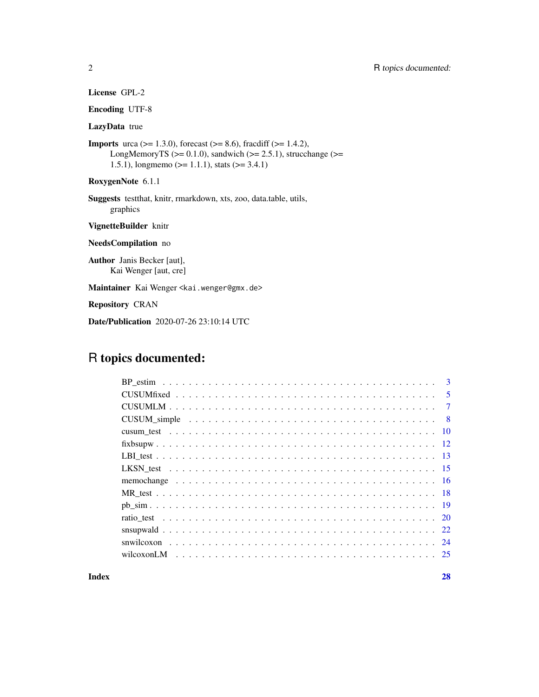| <b>License GPL-2</b> |  |
|----------------------|--|
|----------------------|--|

Encoding UTF-8

# LazyData true

**Imports** urca ( $> = 1.3.0$ ), forecast ( $> = 8.6$ ), fracdiff ( $> = 1.4.2$ ), LongMemoryTS ( $>= 0.1.0$ ), sandwich ( $>= 2.5.1$ ), strucchange ( $>=$ 1.5.1), longmemo ( $> = 1.1.1$ ), stats ( $> = 3.4.1$ )

RoxygenNote 6.1.1

Suggests testthat, knitr, rmarkdown, xts, zoo, data.table, utils, graphics

VignetteBuilder knitr

NeedsCompilation no

Author Janis Becker [aut], Kai Wenger [aut, cre]

Maintainer Kai Wenger <kai.wenger@gmx.de>

Repository CRAN

Date/Publication 2020-07-26 23:10:14 UTC

# R topics documented:

| $\mathbf{3}$   |
|----------------|
| $\sqrt{5}$     |
| $\overline{7}$ |
|                |
|                |
|                |
|                |
|                |
|                |
|                |
|                |
|                |
|                |
|                |
|                |
|                |

**Index** [28](#page-27-0) and 2012, the contract of the contract of the contract of the contract of the contract of the contract of the contract of the contract of the contract of the contract of the contract of the contract of the contr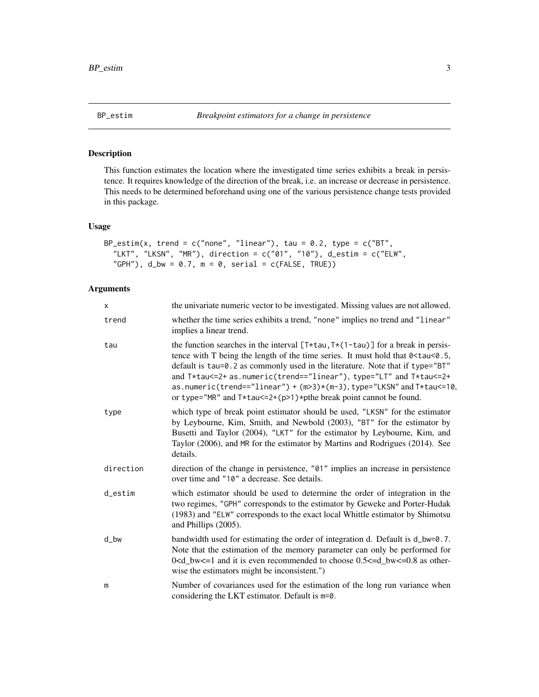<span id="page-2-1"></span><span id="page-2-0"></span>

# Description

This function estimates the location where the investigated time series exhibits a break in persistence. It requires knowledge of the direction of the break, i.e. an increase or decrease in persistence. This needs to be determined beforehand using one of the various persistence change tests provided in this package.

# Usage

```
BP_estim(x, trend = c("none", "linear"), tau = 0.2, type = c("BT",
  "LKT", "LKSN", "MR"), direction = c("01", "10"), d_estim = c("ELW","GPH"), d_bw = 0.7, m = 0, serial = c(FALSE, TRUE)
```
# Arguments

| $\mathsf{x}$         | the univariate numeric vector to be investigated. Missing values are not allowed.                                                                                                                                                                                                                                                                                                                                                                                                |
|----------------------|----------------------------------------------------------------------------------------------------------------------------------------------------------------------------------------------------------------------------------------------------------------------------------------------------------------------------------------------------------------------------------------------------------------------------------------------------------------------------------|
| trend                | whether the time series exhibits a trend, "none" implies no trend and "linear"<br>implies a linear trend.                                                                                                                                                                                                                                                                                                                                                                        |
| tau                  | the function searches in the interval $[T*tau, T*(1-tau)]$ for a break in persis-<br>tence with T being the length of the time series. It must hold that 0 < tau < 0.5,<br>default is tau=0.2 as commonly used in the literature. Note that if type="BT"<br>and T*tau<=2+ as.numeric(trend=="linear"), type="LT" and T*tau<=2+<br>as.numeric(trend=="linear") + (m>3)*(m-3), type="LKSN" and T*tau <= 10,<br>or type="MR" and $T*tau=2+(p>1)*p$ the break point cannot be found. |
| type                 | which type of break point estimator should be used, "LKSN" for the estimator<br>by Leybourne, Kim, Smith, and Newbold (2003), "BT" for the estimator by<br>Busetti and Taylor (2004), "LKT" for the estimator by Leybourne, Kim, and<br>Taylor (2006), and MR for the estimator by Martins and Rodrigues (2014). See<br>details.                                                                                                                                                 |
| direction            | direction of the change in persistence, "01" implies an increase in persistence<br>over time and "10" a decrease. See details.                                                                                                                                                                                                                                                                                                                                                   |
| $d$ <sub>estim</sub> | which estimator should be used to determine the order of integration in the<br>two regimes, "GPH" corresponds to the estimator by Geweke and Porter-Hudak<br>(1983) and "ELW" corresponds to the exact local Whittle estimator by Shimotsu<br>and Phillips (2005).                                                                                                                                                                                                               |
| $d_b$                | bandwidth used for estimating the order of integration d. Default is d_bw=0.7.<br>Note that the estimation of the memory parameter can only be performed for<br>$0 < d_b$ bw $\lt$ =1 and it is even recommended to choose 0.5 $\lt$ =d_bw $\lt$ =0.8 as other-<br>wise the estimators might be inconsistent.")                                                                                                                                                                  |
| m                    | Number of covariances used for the estimation of the long run variance when<br>considering the LKT estimator. Default is $m=0$ .                                                                                                                                                                                                                                                                                                                                                 |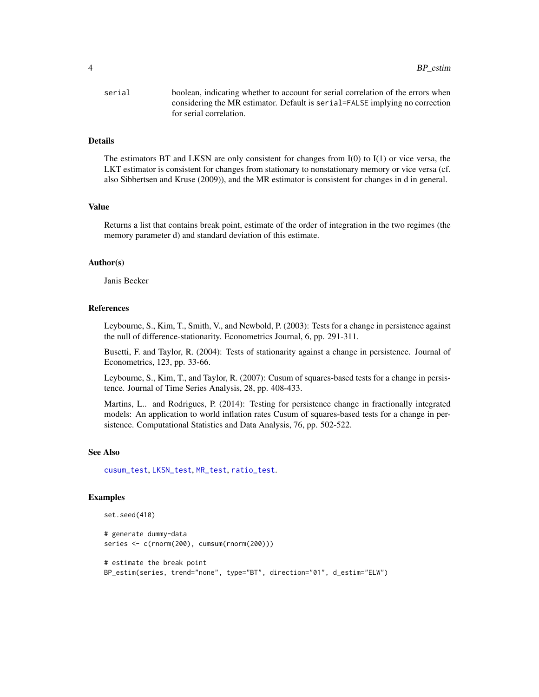<span id="page-3-0"></span>

| serial | boolean, indicating whether to account for serial correlation of the errors when |
|--------|----------------------------------------------------------------------------------|
|        | considering the MR estimator. Default is serial=FALSE implying no correction     |
|        | for serial correlation.                                                          |

# Details

The estimators BT and LKSN are only consistent for changes from  $I(0)$  to  $I(1)$  or vice versa, the LKT estimator is consistent for changes from stationary to nonstationary memory or vice versa (cf. also Sibbertsen and Kruse (2009)), and the MR estimator is consistent for changes in d in general.

#### Value

Returns a list that contains break point, estimate of the order of integration in the two regimes (the memory parameter d) and standard deviation of this estimate.

#### Author(s)

Janis Becker

# References

Leybourne, S., Kim, T., Smith, V., and Newbold, P. (2003): Tests for a change in persistence against the null of difference-stationarity. Econometrics Journal, 6, pp. 291-311.

Busetti, F. and Taylor, R. (2004): Tests of stationarity against a change in persistence. Journal of Econometrics, 123, pp. 33-66.

Leybourne, S., Kim, T., and Taylor, R. (2007): Cusum of squares-based tests for a change in persistence. Journal of Time Series Analysis, 28, pp. 408-433.

Martins, L.. and Rodrigues, P. (2014): Testing for persistence change in fractionally integrated models: An application to world inflation rates Cusum of squares-based tests for a change in persistence. Computational Statistics and Data Analysis, 76, pp. 502-522.

#### See Also

[cusum\\_test](#page-9-1), [LKSN\\_test](#page-14-1), [MR\\_test](#page-17-1), [ratio\\_test](#page-19-1).

# Examples

```
set.seed(410)
```

```
# generate dummy-data
series <- c(rnorm(200), cumsum(rnorm(200)))
```

```
# estimate the break point
BP_estim(series, trend="none", type="BT", direction="01", d_estim="ELW")
```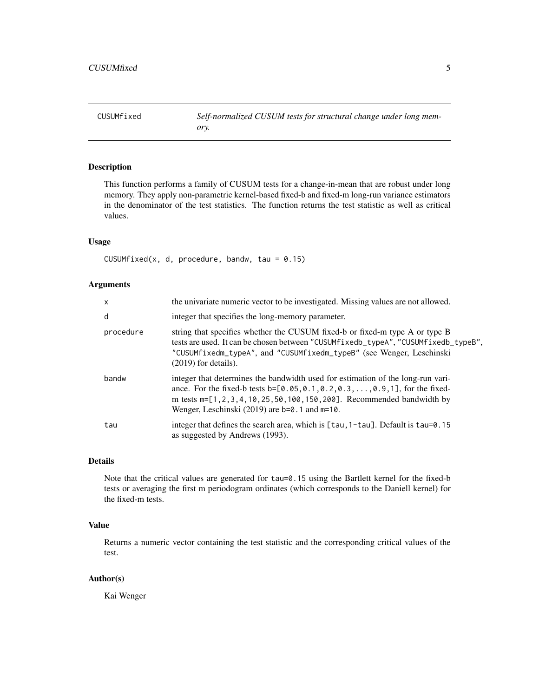<span id="page-4-1"></span><span id="page-4-0"></span>CUSUMfixed *Self-normalized CUSUM tests for structural change under long memory.*

# Description

This function performs a family of CUSUM tests for a change-in-mean that are robust under long memory. They apply non-parametric kernel-based fixed-b and fixed-m long-run variance estimators in the denominator of the test statistics. The function returns the test statistic as well as critical values.

# Usage

CUSUMfixed(x, d, procedure, bandw, tau =  $0.15$ )

# Arguments

| $\mathsf{x}$ | the univariate numeric vector to be investigated. Missing values are not allowed.                                                                                                                                                                                                                     |
|--------------|-------------------------------------------------------------------------------------------------------------------------------------------------------------------------------------------------------------------------------------------------------------------------------------------------------|
| d            | integer that specifies the long-memory parameter.                                                                                                                                                                                                                                                     |
| procedure    | string that specifies whether the CUSUM fixed-b or fixed-m type A or type B<br>tests are used. It can be chosen between "CUSUMfixedb_typeA", "CUSUMfixedb_typeB",<br>"CUSUMfixedm_typeA", and "CUSUMfixedm_typeB" (see Wenger, Leschinski<br>$(2019)$ for details).                                   |
| bandw        | integer that determines the bandwidth used for estimation of the long-run vari-<br>ance. For the fixed-b tests b=[0.05, 0.1, 0.2, 0.3, , 0.9, 1], for the fixed-<br>m tests m=[1, 2, 3, 4, 10, 25, 50, 100, 150, 200]. Recommended bandwidth by<br>Wenger, Leschinski $(2019)$ are b=0.1 and $m=10$ . |
| tau          | integer that defines the search area, which is $[tau, 1-tau]$ . Default is $tau=0.15$<br>as suggested by Andrews (1993).                                                                                                                                                                              |

# Details

Note that the critical values are generated for tau=0.15 using the Bartlett kernel for the fixed-b tests or averaging the first m periodogram ordinates (which corresponds to the Daniell kernel) for the fixed-m tests.

# Value

Returns a numeric vector containing the test statistic and the corresponding critical values of the test.

# Author(s)

Kai Wenger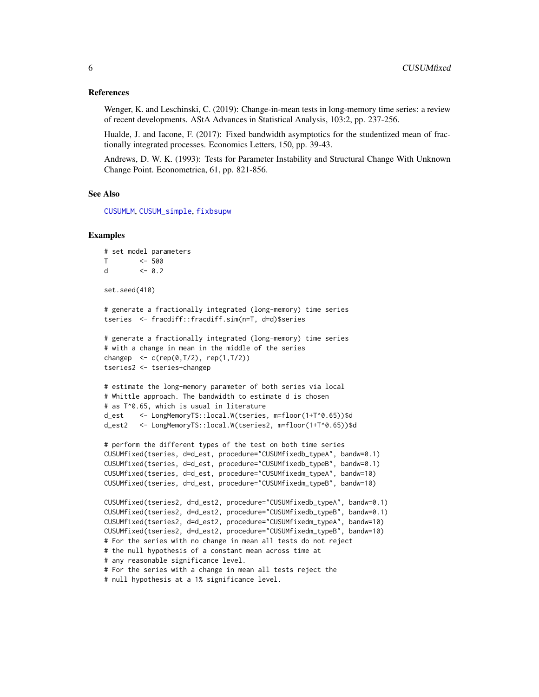# <span id="page-5-0"></span>References

Wenger, K. and Leschinski, C. (2019): Change-in-mean tests in long-memory time series: a review of recent developments. AStA Advances in Statistical Analysis, 103:2, pp. 237-256.

Hualde, J. and Iacone, F. (2017): Fixed bandwidth asymptotics for the studentized mean of fractionally integrated processes. Economics Letters, 150, pp. 39-43.

Andrews, D. W. K. (1993): Tests for Parameter Instability and Structural Change With Unknown Change Point. Econometrica, 61, pp. 821-856.

# See Also

[CUSUMLM](#page-6-1), [CUSUM\\_simple](#page-7-1), [fixbsupw](#page-11-1)

# Examples

```
# set model parameters
T <- 500
d <- 0.2
set.seed(410)
# generate a fractionally integrated (long-memory) time series
tseries <- fracdiff::fracdiff.sim(n=T, d=d)$series
# generate a fractionally integrated (long-memory) time series
# with a change in mean in the middle of the series
changep \leq c (rep(0,T/2), rep(1,T/2))
tseries2 <- tseries+changep
# estimate the long-memory parameter of both series via local
# Whittle approach. The bandwidth to estimate d is chosen
# as T^0.65, which is usual in literature
d_est <- LongMemoryTS::local.W(tseries, m=floor(1+T^0.65))$d
d_est2 <- LongMemoryTS::local.W(tseries2, m=floor(1+T^0.65))$d
# perform the different types of the test on both time series
CUSUMfixed(tseries, d=d_est, procedure="CUSUMfixedb_typeA", bandw=0.1)
CUSUMfixed(tseries, d=d_est, procedure="CUSUMfixedb_typeB", bandw=0.1)
CUSUMfixed(tseries, d=d_est, procedure="CUSUMfixedm_typeA", bandw=10)
CUSUMfixed(tseries, d=d_est, procedure="CUSUMfixedm_typeB", bandw=10)
CUSUMfixed(tseries2, d=d_est2, procedure="CUSUMfixedb_typeA", bandw=0.1)
CUSUMfixed(tseries2, d=d_est2, procedure="CUSUMfixedb_typeB", bandw=0.1)
CUSUMfixed(tseries2, d=d_est2, procedure="CUSUMfixedm_typeA", bandw=10)
CUSUMfixed(tseries2, d=d_est2, procedure="CUSUMfixedm_typeB", bandw=10)
# For the series with no change in mean all tests do not reject
# the null hypothesis of a constant mean across time at
# any reasonable significance level.
# For the series with a change in mean all tests reject the
```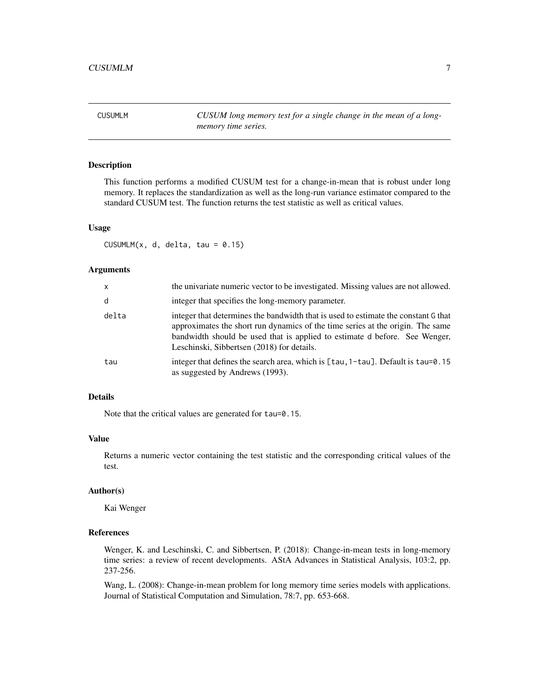<span id="page-6-1"></span><span id="page-6-0"></span>CUSUMLM *CUSUM long memory test for a single change in the mean of a longmemory time series.*

# Description

This function performs a modified CUSUM test for a change-in-mean that is robust under long memory. It replaces the standardization as well as the long-run variance estimator compared to the standard CUSUM test. The function returns the test statistic as well as critical values.

# Usage

CUSUMLM $(x, d, delta, tau = 0.15)$ 

# Arguments

| $\mathsf{x}$ | the univariate numeric vector to be investigated. Missing values are not allowed.                                                                                                                                                                                                                |
|--------------|--------------------------------------------------------------------------------------------------------------------------------------------------------------------------------------------------------------------------------------------------------------------------------------------------|
| d            | integer that specifies the long-memory parameter.                                                                                                                                                                                                                                                |
| delta        | integer that determines the bandwidth that is used to estimate the constant G that<br>approximates the short run dynamics of the time series at the origin. The same<br>bandwidth should be used that is applied to estimate d before. See Wenger,<br>Leschinski, Sibbertsen (2018) for details. |
| tau          | integer that defines the search area, which is $\lceil \tan 1 - \tan \rceil$ . Default is $\tan 9.15$<br>as suggested by Andrews (1993).                                                                                                                                                         |

# Details

Note that the critical values are generated for tau=0.15.

#### Value

Returns a numeric vector containing the test statistic and the corresponding critical values of the test.

# Author(s)

Kai Wenger

# References

Wenger, K. and Leschinski, C. and Sibbertsen, P. (2018): Change-in-mean tests in long-memory time series: a review of recent developments. AStA Advances in Statistical Analysis, 103:2, pp. 237-256.

Wang, L. (2008): Change-in-mean problem for long memory time series models with applications. Journal of Statistical Computation and Simulation, 78:7, pp. 653-668.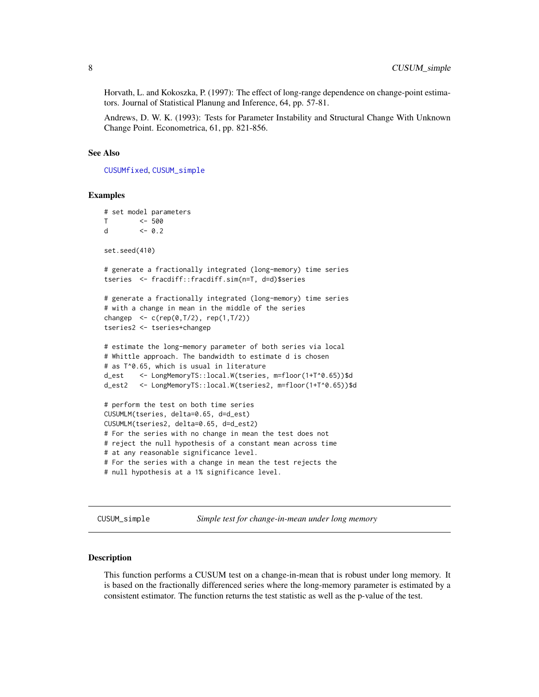<span id="page-7-0"></span>Horvath, L. and Kokoszka, P. (1997): The effect of long-range dependence on change-point estimators. Journal of Statistical Planung and Inference, 64, pp. 57-81.

Andrews, D. W. K. (1993): Tests for Parameter Instability and Structural Change With Unknown Change Point. Econometrica, 61, pp. 821-856.

#### See Also

[CUSUMfixed](#page-4-1), [CUSUM\\_simple](#page-7-1)

#### Examples

```
# set model parameters
T <- 500
d <-0.2set.seed(410)
# generate a fractionally integrated (long-memory) time series
tseries <- fracdiff::fracdiff.sim(n=T, d=d)$series
# generate a fractionally integrated (long-memory) time series
# with a change in mean in the middle of the series
changep \leq c (rep(0,T/2), rep(1,T/2))
tseries2 <- tseries+changep
# estimate the long-memory parameter of both series via local
# Whittle approach. The bandwidth to estimate d is chosen
# as T^0.65, which is usual in literature
d_est <- LongMemoryTS::local.W(tseries, m=floor(1+T^0.65))$d
d_est2 <- LongMemoryTS::local.W(tseries2, m=floor(1+T^0.65))$d
# perform the test on both time series
CUSUMLM(tseries, delta=0.65, d=d_est)
CUSUMLM(tseries2, delta=0.65, d=d_est2)
# For the series with no change in mean the test does not
# reject the null hypothesis of a constant mean across time
# at any reasonable significance level.
# For the series with a change in mean the test rejects the
# null hypothesis at a 1% significance level.
```
<span id="page-7-1"></span>CUSUM\_simple *Simple test for change-in-mean under long memory*

#### **Description**

This function performs a CUSUM test on a change-in-mean that is robust under long memory. It is based on the fractionally differenced series where the long-memory parameter is estimated by a consistent estimator. The function returns the test statistic as well as the p-value of the test.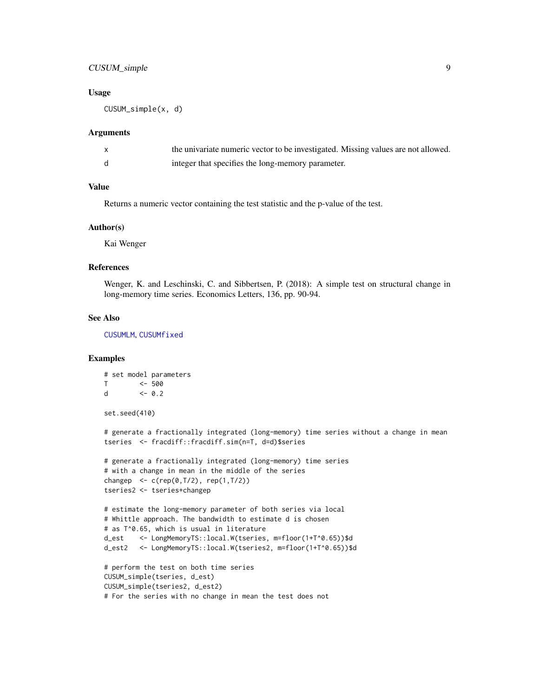# <span id="page-8-0"></span>CUSUM\_simple 9

# Usage

CUSUM\_simple(x, d)

#### Arguments

| the univariate numeric vector to be investigated. Missing values are not allowed. |
|-----------------------------------------------------------------------------------|
| integer that specifies the long-memory parameter.                                 |

# Value

Returns a numeric vector containing the test statistic and the p-value of the test.

#### Author(s)

Kai Wenger

# References

Wenger, K. and Leschinski, C. and Sibbertsen, P. (2018): A simple test on structural change in long-memory time series. Economics Letters, 136, pp. 90-94.

# See Also

[CUSUMLM](#page-6-1), [CUSUMfixed](#page-4-1)

# Examples

```
# set model parameters
T <- 500
d \leq 0.2set.seed(410)
# generate a fractionally integrated (long-memory) time series without a change in mean
tseries <- fracdiff::fracdiff.sim(n=T, d=d)$series
# generate a fractionally integrated (long-memory) time series
# with a change in mean in the middle of the series
changep \leq c (rep(0, T/2), rep(1, T/2))
tseries2 <- tseries+changep
# estimate the long-memory parameter of both series via local
# Whittle approach. The bandwidth to estimate d is chosen
# as T^0.65, which is usual in literature
d_est <- LongMemoryTS::local.W(tseries, m=floor(1+T^0.65))$d
d_est2 <- LongMemoryTS::local.W(tseries2, m=floor(1+T^0.65))$d
# perform the test on both time series
CUSUM_simple(tseries, d_est)
CUSUM_simple(tseries2, d_est2)
# For the series with no change in mean the test does not
```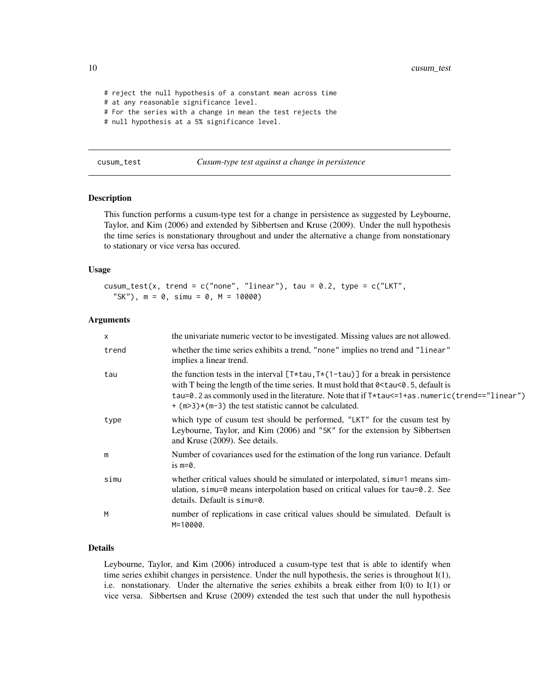<span id="page-9-0"></span>10 cusum\_test

```
# reject the null hypothesis of a constant mean across time
# at any reasonable significance level.
# For the series with a change in mean the test rejects the
# null hypothesis at a 5% significance level.
```
<span id="page-9-1"></span>cusum\_test *Cusum-type test against a change in persistence*

# Description

This function performs a cusum-type test for a change in persistence as suggested by Leybourne, Taylor, and Kim (2006) and extended by Sibbertsen and Kruse (2009). Under the null hypothesis the time series is nonstationary throughout and under the alternative a change from nonstationary to stationary or vice versa has occured.

#### Usage

```
cusum_test(x, trend = c("none", "linear"), tau = 0.2, type = <math>c("LKT",</math>"SK"), m = 0, simu = 0, M = 10000)
```
# Arguments

| X     | the univariate numeric vector to be investigated. Missing values are not allowed.                                                                                                                                                                                                                                                                              |
|-------|----------------------------------------------------------------------------------------------------------------------------------------------------------------------------------------------------------------------------------------------------------------------------------------------------------------------------------------------------------------|
| trend | whether the time series exhibits a trend, "none" implies no trend and "linear"<br>implies a linear trend.                                                                                                                                                                                                                                                      |
| tau   | the function tests in the interval $[T*tau, T*(1-tau)]$ for a break in persistence<br>with T being the length of the time series. It must hold that $0 \leq t$ au $\leq 0.5$ , default is<br>tau=0.2 as commonly used in the literature. Note that if $T*$ tau $\leq$ 1+as.numeric(trend=="linear")<br>$+(m>3)*(m-3)$ the test statistic cannot be calculated. |
| type  | which type of cusum test should be performed, "LKT" for the cusum test by<br>Leybourne, Taylor, and Kim (2006) and "SK" for the extension by Sibbertsen<br>and Kruse (2009). See details.                                                                                                                                                                      |
| m     | Number of covariances used for the estimation of the long run variance. Default<br>is $m=0$ .                                                                                                                                                                                                                                                                  |
| simu  | whether critical values should be simulated or interpolated, simu=1 means sim-<br>ulation, simu=0 means interpolation based on critical values for tau=0.2. See<br>details. Default is simu=0.                                                                                                                                                                 |
| M     | number of replications in case critical values should be simulated. Default is<br>M=10000.                                                                                                                                                                                                                                                                     |

# Details

Leybourne, Taylor, and Kim (2006) introduced a cusum-type test that is able to identify when time series exhibit changes in persistence. Under the null hypothesis, the series is throughout I(1), i.e. nonstationary. Under the alternative the series exhibits a break either from I(0) to I(1) or vice versa. Sibbertsen and Kruse (2009) extended the test such that under the null hypothesis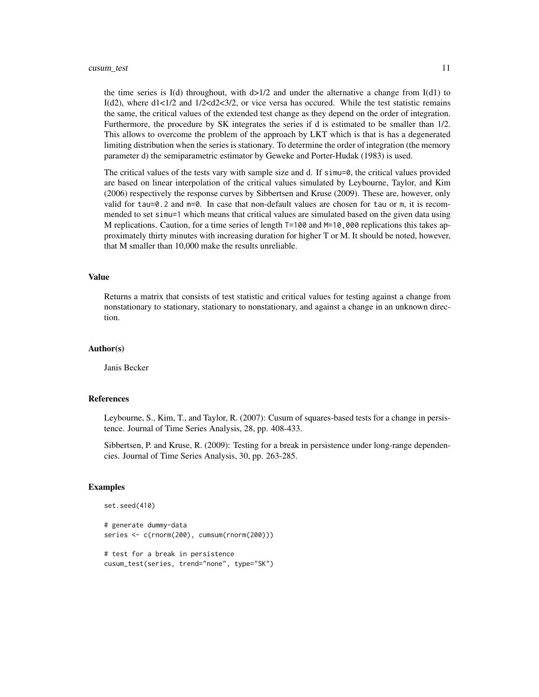#### cusum\_test 11

the time series is I(d) throughout, with  $d>1/2$  and under the alternative a change from I(d1) to I(d2), where  $d1 < 1/2$  and  $1/2 < d2 < 3/2$ , or vice versa has occured. While the test statistic remains the same, the critical values of the extended test change as they depend on the order of integration. Furthermore, the procedure by SK integrates the series if d is estimated to be smaller than 1/2. This allows to overcome the problem of the approach by LKT which is that is has a degenerated limiting distribution when the series is stationary. To determine the order of integration (the memory parameter d) the semiparametric estimator by Geweke and Porter-Hudak (1983) is used.

The critical values of the tests vary with sample size and d. If  $sim=0$ , the critical values provided are based on linear interpolation of the critical values simulated by Leybourne, Taylor, and Kim (2006) respectively the response curves by Sibbertsen and Kruse (2009). These are, however, only valid for tau=0.2 and  $m=0$ . In case that non-default values are chosen for tau or m, it is recommended to set simu=1 which means that critical values are simulated based on the given data using M replications. Caution, for a time series of length  $T=100$  and  $M=10,000$  replications this takes approximately thirty minutes with increasing duration for higher T or M. It should be noted, however, that M smaller than 10,000 make the results unreliable.

# Value

Returns a matrix that consists of test statistic and critical values for testing against a change from nonstationary to stationary, stationary to nonstationary, and against a change in an unknown direction.

# Author(s)

Janis Becker

#### References

Leybourne, S., Kim, T., and Taylor, R. (2007): Cusum of squares-based tests for a change in persistence. Journal of Time Series Analysis, 28, pp. 408-433.

Sibbertsen, P. and Kruse, R. (2009): Testing for a break in persistence under long-range dependencies. Journal of Time Series Analysis, 30, pp. 263-285.

#### Examples

```
set.seed(410)
# generate dummy-data
series <- c(rnorm(200), cumsum(rnorm(200)))
# test for a break in persistence
```
cusum\_test(series, trend="none", type="SK")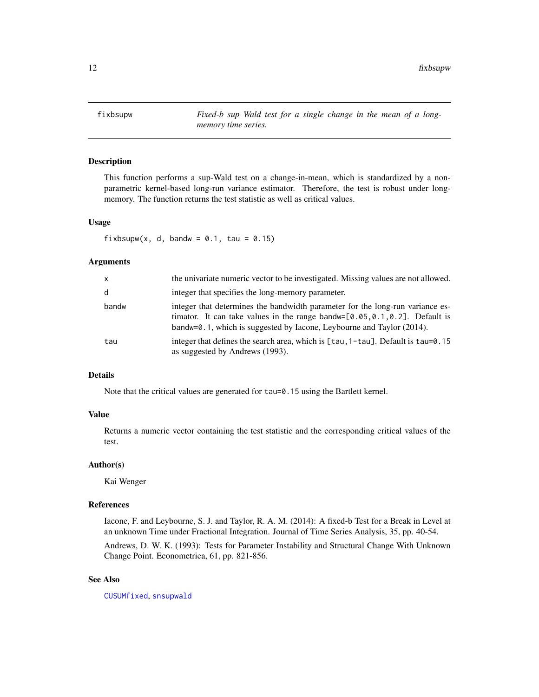<span id="page-11-1"></span><span id="page-11-0"></span>fixbsupw *Fixed-b sup Wald test for a single change in the mean of a longmemory time series.*

# Description

This function performs a sup-Wald test on a change-in-mean, which is standardized by a nonparametric kernel-based long-run variance estimator. Therefore, the test is robust under longmemory. The function returns the test statistic as well as critical values.

# Usage

fixbsupw(x, d, bandw =  $0.1$ , tau =  $0.15$ )

# Arguments

| $\mathsf{x}$ | the univariate numeric vector to be investigated. Missing values are not allowed.                                                                                                                                                            |
|--------------|----------------------------------------------------------------------------------------------------------------------------------------------------------------------------------------------------------------------------------------------|
| d            | integer that specifies the long-memory parameter.                                                                                                                                                                                            |
| bandw        | integer that determines the bandwidth parameter for the long-run variance es-<br>timator. It can take values in the range bandw= $[0.05, 0.1, 0.2]$ . Default is<br>bandw=0.1, which is suggested by Iacone, Leybourne and Taylor $(2014)$ . |
| tau          | integer that defines the search area, which is $\lceil \tan 1 - \tan \rceil$ . Default is $\tan 9.15$<br>as suggested by Andrews (1993).                                                                                                     |

# Details

Note that the critical values are generated for tau=0.15 using the Bartlett kernel.

# Value

Returns a numeric vector containing the test statistic and the corresponding critical values of the test.

# Author(s)

Kai Wenger

#### References

Iacone, F. and Leybourne, S. J. and Taylor, R. A. M. (2014): A fixed-b Test for a Break in Level at an unknown Time under Fractional Integration. Journal of Time Series Analysis, 35, pp. 40-54.

Andrews, D. W. K. (1993): Tests for Parameter Instability and Structural Change With Unknown Change Point. Econometrica, 61, pp. 821-856.

# See Also

[CUSUMfixed](#page-4-1), [snsupwald](#page-21-1)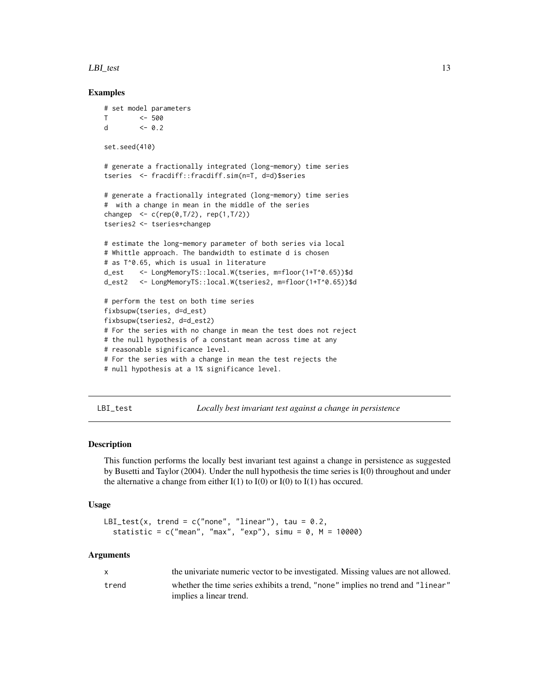#### <span id="page-12-0"></span>LBI\_test 13

# Examples

```
# set model parameters
T <- 500
d <- 0.2
set.seed(410)
# generate a fractionally integrated (long-memory) time series
tseries <- fracdiff::fracdiff.sim(n=T, d=d)$series
# generate a fractionally integrated (long-memory) time series
# with a change in mean in the middle of the series
changep <- c(rep(0,T/2), rep(1,T/2))
tseries2 <- tseries+changep
# estimate the long-memory parameter of both series via local
# Whittle approach. The bandwidth to estimate d is chosen
# as T^0.65, which is usual in literature
d_est <- LongMemoryTS::local.W(tseries, m=floor(1+T^0.65))$d
d_est2 <- LongMemoryTS::local.W(tseries2, m=floor(1+T^0.65))$d
# perform the test on both time series
fixbsupw(tseries, d=d_est)
fixbsupw(tseries2, d=d_est2)
# For the series with no change in mean the test does not reject
# the null hypothesis of a constant mean across time at any
# reasonable significance level.
# For the series with a change in mean the test rejects the
# null hypothesis at a 1% significance level.
```
<span id="page-12-1"></span>LBI\_test *Locally best invariant test against a change in persistence*

# Description

This function performs the locally best invariant test against a change in persistence as suggested by Busetti and Taylor (2004). Under the null hypothesis the time series is I(0) throughout and under the alternative a change from either  $I(1)$  to  $I(0)$  or  $I(0)$  to  $I(1)$  has occured.

#### Usage

```
LBI_test(x, trend = c("none", "linear"), tau = 0.2,statistic = c("mean", "max", "exp"), simu = 0, M = 10000)
```
# Arguments

| X     | the univariate numeric vector to be investigated. Missing values are not allowed. |
|-------|-----------------------------------------------------------------------------------|
| trend | whether the time series exhibits a trend, "none" implies no trend and "linear"    |
|       | implies a linear trend.                                                           |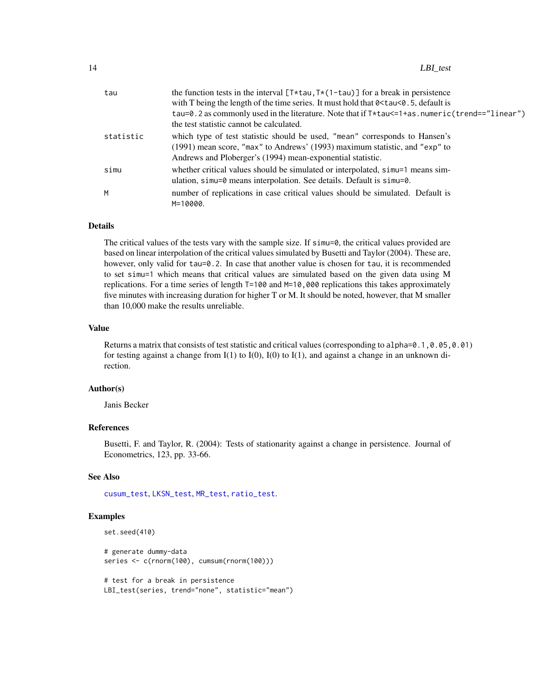<span id="page-13-0"></span>

| tau       | the function tests in the interval $[T*tau, T*(1-tau)]$ for a break in persistence<br>with T being the length of the time series. It must hold that $0 \leq t$ au $0.5$ , default is                                     |
|-----------|--------------------------------------------------------------------------------------------------------------------------------------------------------------------------------------------------------------------------|
|           | tau=0.2 as commonly used in the literature. Note that if T*tau <= 1+as.numeric(trend=="linear")<br>the test statistic cannot be calculated.                                                                              |
| statistic | which type of test statistic should be used, "mean" corresponds to Hansen's<br>(1991) mean score, "max" to Andrews' (1993) maximum statistic, and "exp" to<br>Andrews and Ploberger's (1994) mean-exponential statistic. |
| simu      | whether critical values should be simulated or interpolated, simu-1 means sim-<br>ulation, $sim=0$ means interpolation. See details. Default is $sim=0$ .                                                                |
| M         | number of replications in case critical values should be simulated. Default is<br>M=10000.                                                                                                                               |

#### Details

The critical values of the tests vary with the sample size. If simu=0, the critical values provided are based on linear interpolation of the critical values simulated by Busetti and Taylor (2004). These are, however, only valid for tau=0.2. In case that another value is chosen for tau, it is recommended to set simu=1 which means that critical values are simulated based on the given data using M replications. For a time series of length T=100 and M=10,000 replications this takes approximately five minutes with increasing duration for higher T or M. It should be noted, however, that M smaller than 10,000 make the results unreliable.

# Value

Returns a matrix that consists of test statistic and critical values (corresponding to alpha=0.1,0.05,0.01) for testing against a change from I(1) to I(0), I(0) to I(1), and against a change in an unknown direction.

# Author(s)

Janis Becker

# References

Busetti, F. and Taylor, R. (2004): Tests of stationarity against a change in persistence. Journal of Econometrics, 123, pp. 33-66.

# See Also

[cusum\\_test](#page-9-1), [LKSN\\_test](#page-14-1), [MR\\_test](#page-17-1), [ratio\\_test](#page-19-1).

# Examples

```
set.seed(410)
```
# generate dummy-data series <- c(rnorm(100), cumsum(rnorm(100)))

# test for a break in persistence LBI\_test(series, trend="none", statistic="mean")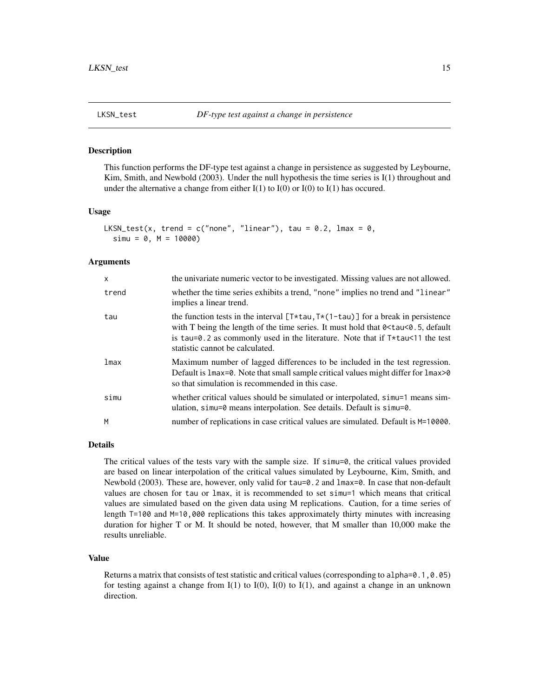<span id="page-14-1"></span><span id="page-14-0"></span>

# **Description**

This function performs the DF-type test against a change in persistence as suggested by Leybourne, Kim, Smith, and Newbold (2003). Under the null hypothesis the time series is I(1) throughout and under the alternative a change from either  $I(1)$  to  $I(0)$  or  $I(0)$  to  $I(1)$  has occured.

#### Usage

```
LKSN_test(x, trend = c("none", "linear"), tau = 0.2, lmax = 0,
  sim = 0, M = 10000)
```
#### Arguments

| $\mathsf{x}$ | the univariate numeric vector to be investigated. Missing values are not allowed.                                                                                                                                                                                                                                                       |
|--------------|-----------------------------------------------------------------------------------------------------------------------------------------------------------------------------------------------------------------------------------------------------------------------------------------------------------------------------------------|
| trend        | whether the time series exhibits a trend, "none" implies no trend and "linear"<br>implies a linear trend.                                                                                                                                                                                                                               |
| tau          | the function tests in the interval $[T \star tau, T \star (1-tau)]$ for a break in persistence<br>with T being the length of the time series. It must hold that 0 <tau<0.5, default<br="">is tau=0.2 as commonly used in the literature. Note that if <math>T*</math>tau &lt;11 the test<br/>statistic cannot be calculated.</tau<0.5,> |
| lmax         | Maximum number of lagged differences to be included in the test regression.<br>Default is 1max=0. Note that small sample critical values might differ for 1max>0<br>so that simulation is recommended in this case.                                                                                                                     |
| simu         | whether critical values should be simulated or interpolated, simu=1 means sim-<br>ulation, $sim=0$ means interpolation. See details. Default is $sim=0$ .                                                                                                                                                                               |
| M            | number of replications in case critical values are simulated. Default is M=10000.                                                                                                                                                                                                                                                       |

# Details

The critical values of the tests vary with the sample size. If  $sim=0$ , the critical values provided are based on linear interpolation of the critical values simulated by Leybourne, Kim, Smith, and Newbold (2003). These are, however, only valid for tau=0.2 and lmax=0. In case that non-default values are chosen for tau or lmax, it is recommended to set simu=1 which means that critical values are simulated based on the given data using M replications. Caution, for a time series of length T=100 and M=10,000 replications this takes approximately thirty minutes with increasing duration for higher T or M. It should be noted, however, that M smaller than 10,000 make the results unreliable.

# Value

Returns a matrix that consists of test statistic and critical values (corresponding to alpha=0.1,0.05) for testing against a change from  $I(1)$  to  $I(0)$ ,  $I(0)$  to  $I(1)$ , and against a change in an unknown direction.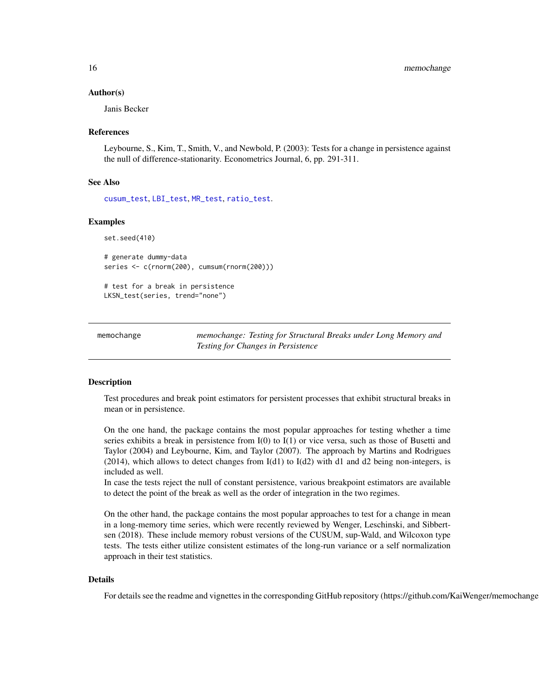#### <span id="page-15-0"></span>Author(s)

Janis Becker

#### References

Leybourne, S., Kim, T., Smith, V., and Newbold, P. (2003): Tests for a change in persistence against the null of difference-stationarity. Econometrics Journal, 6, pp. 291-311.

# See Also

[cusum\\_test](#page-9-1), [LBI\\_test](#page-12-1), [MR\\_test](#page-17-1), [ratio\\_test](#page-19-1).

# Examples

set.seed(410)

```
# generate dummy-data
series <- c(rnorm(200), cumsum(rnorm(200)))
```
# test for a break in persistence LKSN\_test(series, trend="none")

memochange *memochange: Testing for Structural Breaks under Long Memory and Testing for Changes in Persistence*

# Description

Test procedures and break point estimators for persistent processes that exhibit structural breaks in mean or in persistence.

On the one hand, the package contains the most popular approaches for testing whether a time series exhibits a break in persistence from I(0) to I(1) or vice versa, such as those of Busetti and Taylor (2004) and Leybourne, Kim, and Taylor (2007). The approach by Martins and Rodrigues  $(2014)$ , which allows to detect changes from  $I(d1)$  to  $I(d2)$  with d1 and d2 being non-integers, is included as well.

In case the tests reject the null of constant persistence, various breakpoint estimators are available to detect the point of the break as well as the order of integration in the two regimes.

On the other hand, the package contains the most popular approaches to test for a change in mean in a long-memory time series, which were recently reviewed by Wenger, Leschinski, and Sibbertsen (2018). These include memory robust versions of the CUSUM, sup-Wald, and Wilcoxon type tests. The tests either utilize consistent estimates of the long-run variance or a self normalization approach in their test statistics.

#### Details

For details see the readme and vignettes in the corresponding GitHub repository (https://github.com/KaiWenger/memochange).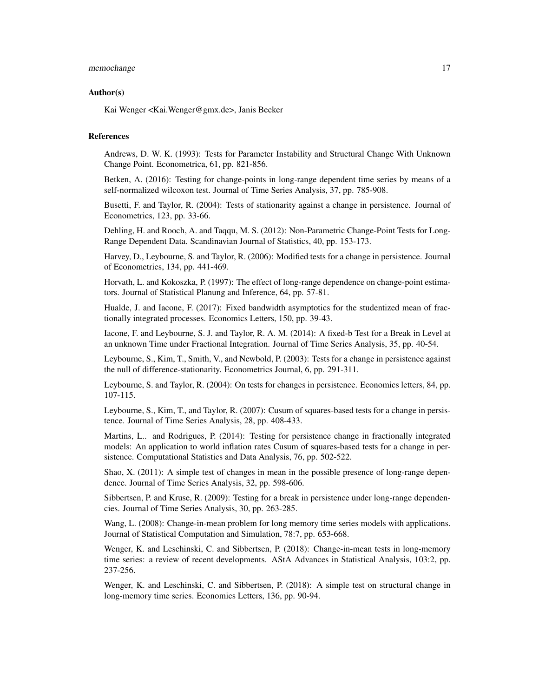# memochange 17

# Author(s)

Kai Wenger <Kai.Wenger@gmx.de>, Janis Becker

# References

Andrews, D. W. K. (1993): Tests for Parameter Instability and Structural Change With Unknown Change Point. Econometrica, 61, pp. 821-856.

Betken, A. (2016): Testing for change-points in long-range dependent time series by means of a self-normalized wilcoxon test. Journal of Time Series Analysis, 37, pp. 785-908.

Busetti, F. and Taylor, R. (2004): Tests of stationarity against a change in persistence. Journal of Econometrics, 123, pp. 33-66.

Dehling, H. and Rooch, A. and Taqqu, M. S. (2012): Non-Parametric Change-Point Tests for Long-Range Dependent Data. Scandinavian Journal of Statistics, 40, pp. 153-173.

Harvey, D., Leybourne, S. and Taylor, R. (2006): Modified tests for a change in persistence. Journal of Econometrics, 134, pp. 441-469.

Horvath, L. and Kokoszka, P. (1997): The effect of long-range dependence on change-point estimators. Journal of Statistical Planung and Inference, 64, pp. 57-81.

Hualde, J. and Iacone, F. (2017): Fixed bandwidth asymptotics for the studentized mean of fractionally integrated processes. Economics Letters, 150, pp. 39-43.

Iacone, F. and Leybourne, S. J. and Taylor, R. A. M. (2014): A fixed-b Test for a Break in Level at an unknown Time under Fractional Integration. Journal of Time Series Analysis, 35, pp. 40-54.

Leybourne, S., Kim, T., Smith, V., and Newbold, P. (2003): Tests for a change in persistence against the null of difference-stationarity. Econometrics Journal, 6, pp. 291-311.

Leybourne, S. and Taylor, R. (2004): On tests for changes in persistence. Economics letters, 84, pp. 107-115.

Leybourne, S., Kim, T., and Taylor, R. (2007): Cusum of squares-based tests for a change in persistence. Journal of Time Series Analysis, 28, pp. 408-433.

Martins, L.. and Rodrigues, P. (2014): Testing for persistence change in fractionally integrated models: An application to world inflation rates Cusum of squares-based tests for a change in persistence. Computational Statistics and Data Analysis, 76, pp. 502-522.

Shao, X. (2011): A simple test of changes in mean in the possible presence of long-range dependence. Journal of Time Series Analysis, 32, pp. 598-606.

Sibbertsen, P. and Kruse, R. (2009): Testing for a break in persistence under long-range dependencies. Journal of Time Series Analysis, 30, pp. 263-285.

Wang, L. (2008): Change-in-mean problem for long memory time series models with applications. Journal of Statistical Computation and Simulation, 78:7, pp. 653-668.

Wenger, K. and Leschinski, C. and Sibbertsen, P. (2018): Change-in-mean tests in long-memory time series: a review of recent developments. AStA Advances in Statistical Analysis, 103:2, pp. 237-256.

Wenger, K. and Leschinski, C. and Sibbertsen, P. (2018): A simple test on structural change in long-memory time series. Economics Letters, 136, pp. 90-94.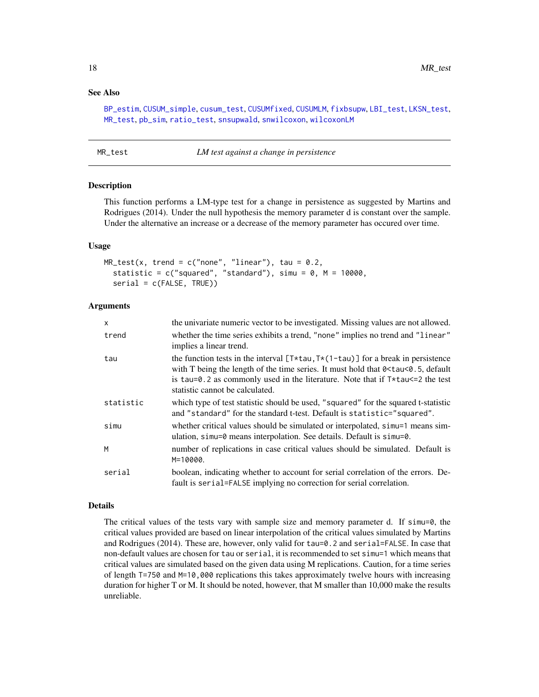# <span id="page-17-0"></span>See Also

[BP\\_estim](#page-2-1), [CUSUM\\_simple](#page-7-1), [cusum\\_test](#page-9-1), [CUSUMfixed](#page-4-1), [CUSUMLM](#page-6-1), [fixbsupw](#page-11-1), [LBI\\_test](#page-12-1), [LKSN\\_test](#page-14-1), [MR\\_test](#page-17-1), [pb\\_sim](#page-18-1), [ratio\\_test](#page-19-1), [snsupwald](#page-21-1), [snwilcoxon](#page-23-1), [wilcoxonLM](#page-24-1)

<span id="page-17-1"></span>

| MR_test | LM test against a change in persistence |
|---------|-----------------------------------------|
|---------|-----------------------------------------|

#### Description

This function performs a LM-type test for a change in persistence as suggested by Martins and Rodrigues (2014). Under the null hypothesis the memory parameter d is constant over the sample. Under the alternative an increase or a decrease of the memory parameter has occured over time.

#### Usage

```
MR_test(x, trend = c("none", "linear"), tau = 0.2,statistic = c("squared", "standard"), simu = 0, M = 10000,serial = c(FALSE, TRUE))
```
# Arguments

| X         | the univariate numeric vector to be investigated. Missing values are not allowed.                                                                                                                                                                                                                                                       |
|-----------|-----------------------------------------------------------------------------------------------------------------------------------------------------------------------------------------------------------------------------------------------------------------------------------------------------------------------------------------|
| trend     | whether the time series exhibits a trend, "none" implies no trend and "linear"<br>implies a linear trend.                                                                                                                                                                                                                               |
| tau       | the function tests in the interval $[T*tau, T*(1-tau)]$ for a break in persistence<br>with T being the length of the time series. It must hold that 0 <tau<0.5, default<br="">is tau=0.2 as commonly used in the literature. Note that if <math>T*</math>tau<math>\leq 2</math> the test<br/>statistic cannot be calculated.</tau<0.5,> |
| statistic | which type of test statistic should be used, "squared" for the squared t-statistic<br>and "standard" for the standard t-test. Default is statistic="squared".                                                                                                                                                                           |
| simu      | whether critical values should be simulated or interpolated, simu=1 means sim-<br>ulation, $sim=0$ means interpolation. See details. Default is $sim=0$ .                                                                                                                                                                               |
| м         | number of replications in case critical values should be simulated. Default is<br>M=10000.                                                                                                                                                                                                                                              |
| serial    | boolean, indicating whether to account for serial correlation of the errors. De-<br>fault is serial=FALSE implying no correction for serial correlation.                                                                                                                                                                                |

#### Details

The critical values of the tests vary with sample size and memory parameter d. If simu=0, the critical values provided are based on linear interpolation of the critical values simulated by Martins and Rodrigues (2014). These are, however, only valid for tau=0.2 and serial=FALSE. In case that non-default values are chosen for tau or serial, it is recommended to set simu=1 which means that critical values are simulated based on the given data using M replications. Caution, for a time series of length T=750 and M=10,000 replications this takes approximately twelve hours with increasing duration for higher T or M. It should be noted, however, that M smaller than 10,000 make the results unreliable.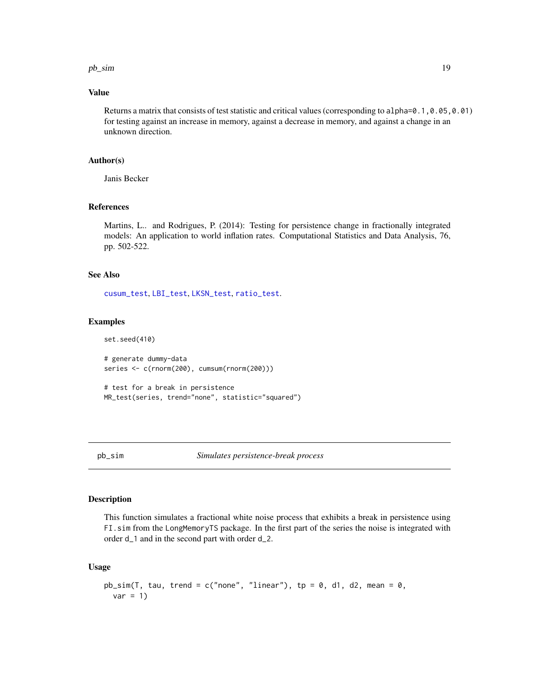#### <span id="page-18-0"></span> $pb\_sim$  19

# Value

Returns a matrix that consists of test statistic and critical values (corresponding to alpha=0.1,0.05,0.01) for testing against an increase in memory, against a decrease in memory, and against a change in an unknown direction.

## Author(s)

Janis Becker

# References

Martins, L.. and Rodrigues, P. (2014): Testing for persistence change in fractionally integrated models: An application to world inflation rates. Computational Statistics and Data Analysis, 76, pp. 502-522.

# See Also

[cusum\\_test](#page-9-1), [LBI\\_test](#page-12-1), [LKSN\\_test](#page-14-1), [ratio\\_test](#page-19-1).

#### Examples

```
set.seed(410)
```
# generate dummy-data series <- c(rnorm(200), cumsum(rnorm(200)))

```
# test for a break in persistence
MR_test(series, trend="none", statistic="squared")
```
<span id="page-18-1"></span>

# Description

This function simulates a fractional white noise process that exhibits a break in persistence using FI.sim from the LongMemoryTS package. In the first part of the series the noise is integrated with order d\_1 and in the second part with order d\_2.

#### Usage

```
pb\_sim(T, tau, trend = c("none", "linear"), tp = 0, d1, d2, mean = 0,var = 1)
```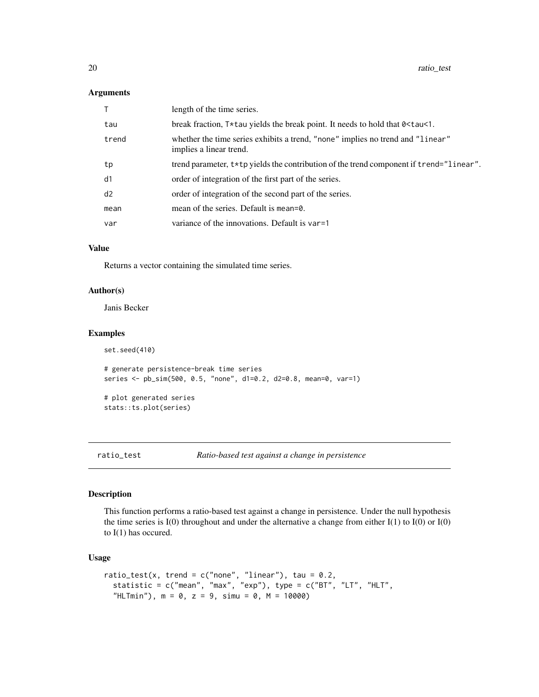#### <span id="page-19-0"></span>Arguments

|       | length of the time series.                                                                                |
|-------|-----------------------------------------------------------------------------------------------------------|
| tau   | break fraction, $T*$ tau yields the break point. It needs to hold that $0 \leq t$ aust.                   |
| trend | whether the time series exhibits a trend, "none" implies no trend and "linear"<br>implies a linear trend. |
| tp    | trend parameter, t*tp yields the contribution of the trend component if trend="linear".                   |
| d1    | order of integration of the first part of the series.                                                     |
| d2    | order of integration of the second part of the series.                                                    |
| mean  | mean of the series. Default is mean= $0$ .                                                                |
| var   | variance of the innovations. Default is var=1                                                             |
|       |                                                                                                           |

# Value

Returns a vector containing the simulated time series.

# Author(s)

Janis Becker

set.seed(410)

# Examples

```
# generate persistence-break time series
series <- pb_sim(500, 0.5, "none", d1=0.2, d2=0.8, mean=0, var=1)
# plot generated series
stats::ts.plot(series)
```
<span id="page-19-1"></span>ratio\_test *Ratio-based test against a change in persistence*

# Description

This function performs a ratio-based test against a change in persistence. Under the null hypothesis the time series is I(0) throughout and under the alternative a change from either I(1) to I(0) or I(0) to I(1) has occured.

# Usage

```
ratio_test(x, trend = c("none", "linear"), tau = 0.2,statistic = c("mean", "max", "exp"), type = c("BT", "LT", "HLT",
  "HLTmin"), m = 0, z = 9, simu = 0, M = 10000)
```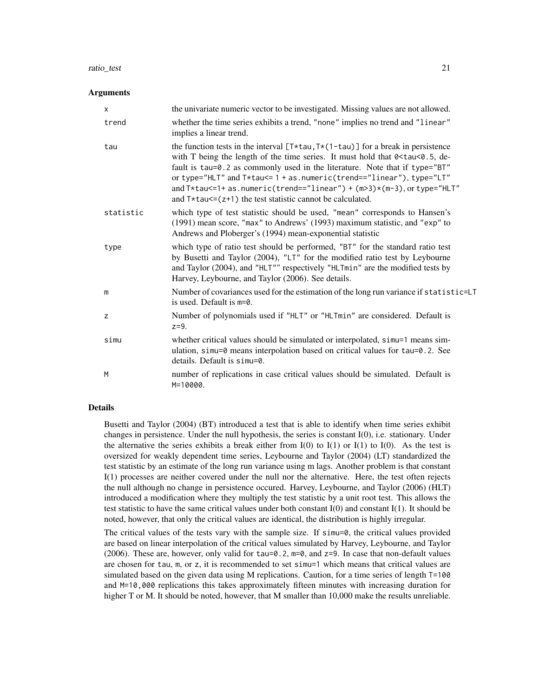#### ratio\_test 21

# Arguments

| $\boldsymbol{\mathsf{x}}$ | the univariate numeric vector to be investigated. Missing values are not allowed.                                                                                                                                                                                                                                                                                                                                                                                             |
|---------------------------|-------------------------------------------------------------------------------------------------------------------------------------------------------------------------------------------------------------------------------------------------------------------------------------------------------------------------------------------------------------------------------------------------------------------------------------------------------------------------------|
| trend                     | whether the time series exhibits a trend, "none" implies no trend and "linear"<br>implies a linear trend.                                                                                                                                                                                                                                                                                                                                                                     |
| tau                       | the function tests in the interval $[T*tau, Tx(1-tau)]$ for a break in persistence<br>with T being the length of the time series. It must hold that 0 < tau < 0.5, de-<br>fault is tau=0.2 as commonly used in the literature. Note that if type="BT"<br>or type="HLT" and T*tau <= 1 + as.numeric(trend == "linear"), type="LT"<br>and $T*tau=1+$ as.numeric(trend=="linear") + $(m>3)*(m-3)$ , or type="HLT"<br>and $T*tau=(-z+1)$ the test statistic cannot be calculated. |
| statistic                 | which type of test statistic should be used, "mean" corresponds to Hansen's<br>(1991) mean score, "max" to Andrews' (1993) maximum statistic, and "exp" to<br>Andrews and Ploberger's (1994) mean-exponential statistic                                                                                                                                                                                                                                                       |
| type                      | which type of ratio test should be performed, "BT" for the standard ratio test<br>by Busetti and Taylor (2004), "LT" for the modified ratio test by Leybourne<br>and Taylor (2004), and "HLT"" respectively "HLTmin" are the modified tests by<br>Harvey, Leybourne, and Taylor (2006). See details.                                                                                                                                                                          |
| m                         | Number of covariances used for the estimation of the long run variance if statistic=LT<br>is used. Default is $m=0$ .                                                                                                                                                                                                                                                                                                                                                         |
| z                         | Number of polynomials used if "HLT" or "HLTmin" are considered. Default is<br>$z=9$ .                                                                                                                                                                                                                                                                                                                                                                                         |
| simu                      | whether critical values should be simulated or interpolated, simu=1 means sim-<br>ulation, simu=0 means interpolation based on critical values for tau=0.2. See<br>details. Default is simu=0.                                                                                                                                                                                                                                                                                |
| M                         | number of replications in case critical values should be simulated. Default is<br>M=10000.                                                                                                                                                                                                                                                                                                                                                                                    |

# Details

Busetti and Taylor (2004) (BT) introduced a test that is able to identify when time series exhibit changes in persistence. Under the null hypothesis, the series is constant I(0), i.e. stationary. Under the alternative the series exhibits a break either from  $I(0)$  to  $I(1)$  or  $I(1)$  to  $I(0)$ . As the test is oversized for weakly dependent time series, Leybourne and Taylor (2004) (LT) standardized the test statistic by an estimate of the long run variance using m lags. Another problem is that constant I(1) processes are neither covered under the null nor the alternative. Here, the test often rejects the null although no change in persistence occured. Harvey, Leybourne, and Taylor (2006) (HLT) introduced a modification where they multiply the test statistic by a unit root test. This allows the test statistic to have the same critical values under both constant I(0) and constant I(1). It should be noted, however, that only the critical values are identical, the distribution is highly irregular.

The critical values of the tests vary with the sample size. If simu=0, the critical values provided are based on linear interpolation of the critical values simulated by Harvey, Leybourne, and Taylor (2006). These are, however, only valid for tau=0.2, m=0, and z=9. In case that non-default values are chosen for tau, m, or z, it is recommended to set simu=1 which means that critical values are simulated based on the given data using M replications. Caution, for a time series of length T=100 and M=10,000 replications this takes approximately fifteen minutes with increasing duration for higher T or M. It should be noted, however, that M smaller than 10,000 make the results unreliable.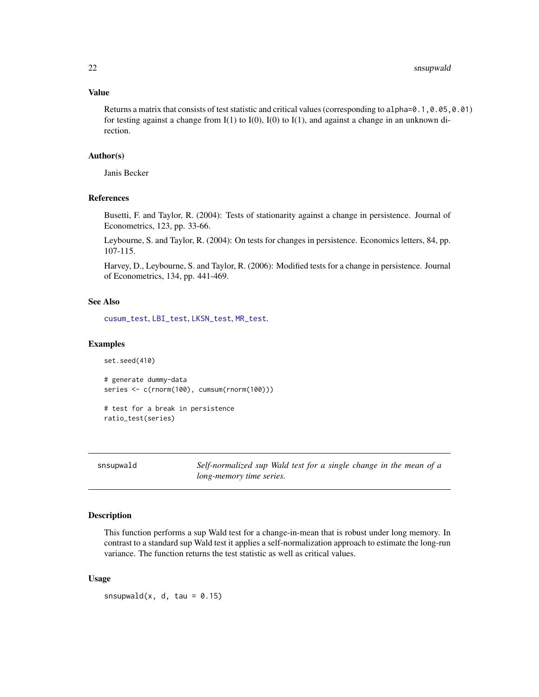# <span id="page-21-0"></span>Value

Returns a matrix that consists of test statistic and critical values (corresponding to alpha=0.1,0.05,0.01) for testing against a change from  $I(1)$  to  $I(0)$ ,  $I(0)$  to  $I(1)$ , and against a change in an unknown direction.

# Author(s)

Janis Becker

# References

Busetti, F. and Taylor, R. (2004): Tests of stationarity against a change in persistence. Journal of Econometrics, 123, pp. 33-66.

Leybourne, S. and Taylor, R. (2004): On tests for changes in persistence. Economics letters, 84, pp. 107-115.

Harvey, D., Leybourne, S. and Taylor, R. (2006): Modified tests for a change in persistence. Journal of Econometrics, 134, pp. 441-469.

# See Also

[cusum\\_test](#page-9-1), [LBI\\_test](#page-12-1), [LKSN\\_test](#page-14-1), [MR\\_test](#page-17-1).

#### Examples

```
set.seed(410)
# generate dummy-data
series <- c(rnorm(100), cumsum(rnorm(100)))
# test for a break in persistence
```
ratio\_test(series)

<span id="page-21-1"></span>snsupwald *Self-normalized sup Wald test for a single change in the mean of a long-memory time series.*

# Description

This function performs a sup Wald test for a change-in-mean that is robust under long memory. In contrast to a standard sup Wald test it applies a self-normalization approach to estimate the long-run variance. The function returns the test statistic as well as critical values.

# Usage

snsupwald(x, d, tau =  $0.15$ )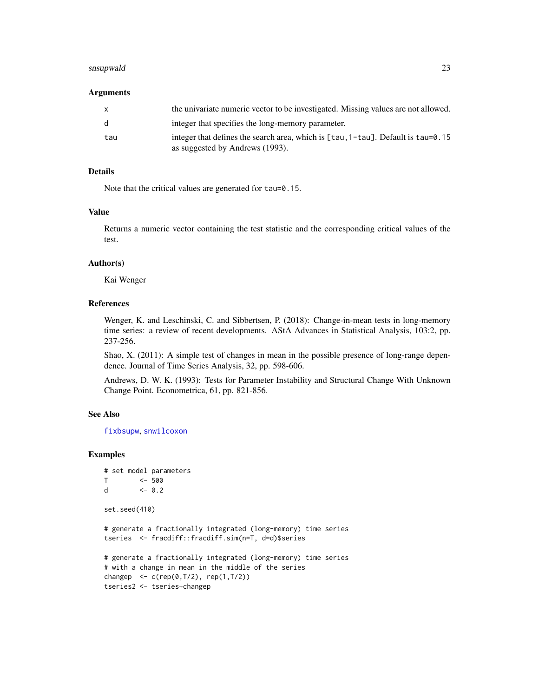#### <span id="page-22-0"></span>snsupwald 23

#### Arguments

| x   | the univariate numeric vector to be investigated. Missing values are not allowed.                                                        |
|-----|------------------------------------------------------------------------------------------------------------------------------------------|
| d.  | integer that specifies the long-memory parameter.                                                                                        |
| tau | integer that defines the search area, which is $\lceil \tan 1 - \tan \rceil$ . Default is $\tan 9.15$<br>as suggested by Andrews (1993). |

# Details

Note that the critical values are generated for tau=0.15.

# Value

Returns a numeric vector containing the test statistic and the corresponding critical values of the test.

#### Author(s)

Kai Wenger

# References

Wenger, K. and Leschinski, C. and Sibbertsen, P. (2018): Change-in-mean tests in long-memory time series: a review of recent developments. AStA Advances in Statistical Analysis, 103:2, pp. 237-256.

Shao, X. (2011): A simple test of changes in mean in the possible presence of long-range dependence. Journal of Time Series Analysis, 32, pp. 598-606.

Andrews, D. W. K. (1993): Tests for Parameter Instability and Structural Change With Unknown Change Point. Econometrica, 61, pp. 821-856.

# See Also

[fixbsupw](#page-11-1), [snwilcoxon](#page-23-1)

# Examples

```
# set model parameters
T <- 500
d <- 0.2
set.seed(410)
# generate a fractionally integrated (long-memory) time series
tseries <- fracdiff::fracdiff.sim(n=T, d=d)$series
# generate a fractionally integrated (long-memory) time series
# with a change in mean in the middle of the series
changep \leq c(rep(0,T/2), rep(1,T/2))
tseries2 <- tseries+changep
```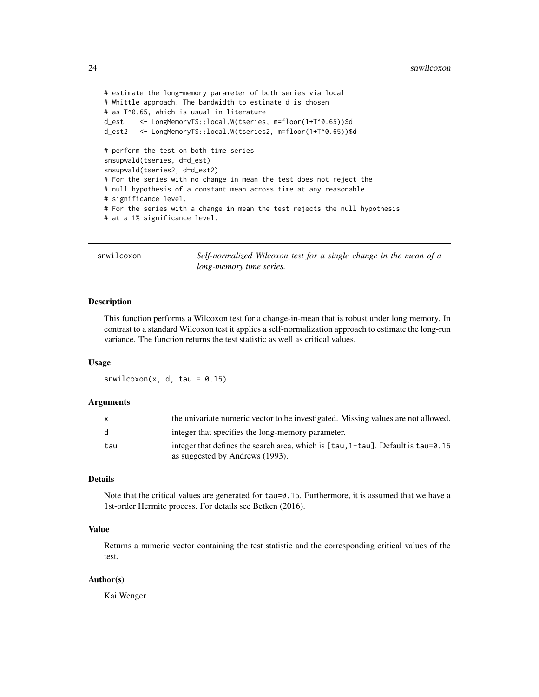```
# estimate the long-memory parameter of both series via local
# Whittle approach. The bandwidth to estimate d is chosen
# as T^0.65, which is usual in literature
d_est <- LongMemoryTS::local.W(tseries, m=floor(1+T^0.65))$d
d_est2 <- LongMemoryTS::local.W(tseries2, m=floor(1+T^0.65))$d
# perform the test on both time series
snsupwald(tseries, d=d_est)
snsupwald(tseries2, d=d_est2)
# For the series with no change in mean the test does not reject the
# null hypothesis of a constant mean across time at any reasonable
# significance level.
# For the series with a change in mean the test rejects the null hypothesis
# at a 1% significance level.
```
<span id="page-23-1"></span>snwilcoxon *Self-normalized Wilcoxon test for a single change in the mean of a long-memory time series.*

#### **Description**

This function performs a Wilcoxon test for a change-in-mean that is robust under long memory. In contrast to a standard Wilcoxon test it applies a self-normalization approach to estimate the long-run variance. The function returns the test statistic as well as critical values.

# Usage

snwilcoxon(x, d, tau =  $0.15$ )

# Arguments

| X            | the univariate numeric vector to be investigated. Missing values are not allowed. |
|--------------|-----------------------------------------------------------------------------------|
| <sub>d</sub> | integer that specifies the long-memory parameter.                                 |
| tau          |                                                                                   |
|              | as suggested by Andrews (1993).                                                   |

# Details

Note that the critical values are generated for tau=0.15. Furthermore, it is assumed that we have a 1st-order Hermite process. For details see Betken (2016).

# Value

Returns a numeric vector containing the test statistic and the corresponding critical values of the test.

# Author(s)

Kai Wenger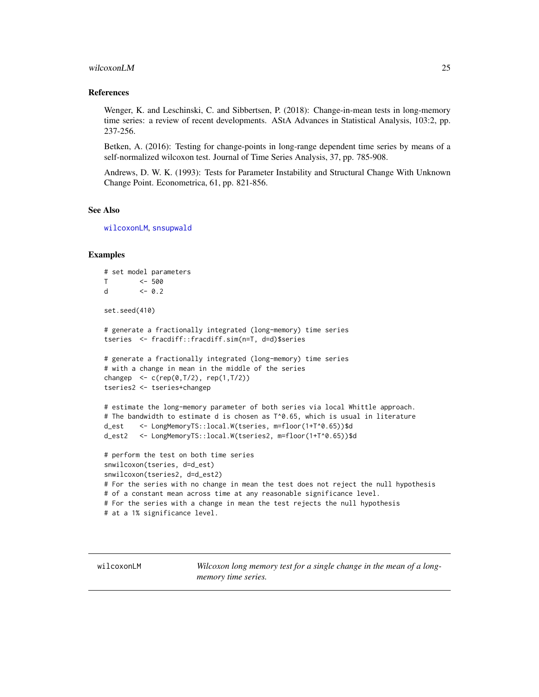#### <span id="page-24-0"></span>wilcoxonLM 25

# References

Wenger, K. and Leschinski, C. and Sibbertsen, P. (2018): Change-in-mean tests in long-memory time series: a review of recent developments. AStA Advances in Statistical Analysis, 103:2, pp. 237-256.

Betken, A. (2016): Testing for change-points in long-range dependent time series by means of a self-normalized wilcoxon test. Journal of Time Series Analysis, 37, pp. 785-908.

Andrews, D. W. K. (1993): Tests for Parameter Instability and Structural Change With Unknown Change Point. Econometrica, 61, pp. 821-856.

#### See Also

[wilcoxonLM](#page-24-1), [snsupwald](#page-21-1)

#### Examples

```
# set model parameters
T <- 500
d <-0.2set.seed(410)
# generate a fractionally integrated (long-memory) time series
tseries <- fracdiff::fracdiff.sim(n=T, d=d)$series
# generate a fractionally integrated (long-memory) time series
# with a change in mean in the middle of the series
changep \leq c(rep(0,T/2), rep(1,T/2))
tseries2 <- tseries+changep
# estimate the long-memory parameter of both series via local Whittle approach.
# The bandwidth to estimate d is chosen as T^0.65, which is usual in literature
d_est <- LongMemoryTS::local.W(tseries, m=floor(1+T^0.65))$d
d_est2 <- LongMemoryTS::local.W(tseries2, m=floor(1+T^0.65))$d
# perform the test on both time series
snwilcoxon(tseries, d=d_est)
snwilcoxon(tseries2, d=d_est2)
# For the series with no change in mean the test does not reject the null hypothesis
# of a constant mean across time at any reasonable significance level.
# For the series with a change in mean the test rejects the null hypothesis
# at a 1% significance level.
```
<span id="page-24-1"></span>wilcoxonLM *Wilcoxon long memory test for a single change in the mean of a longmemory time series.*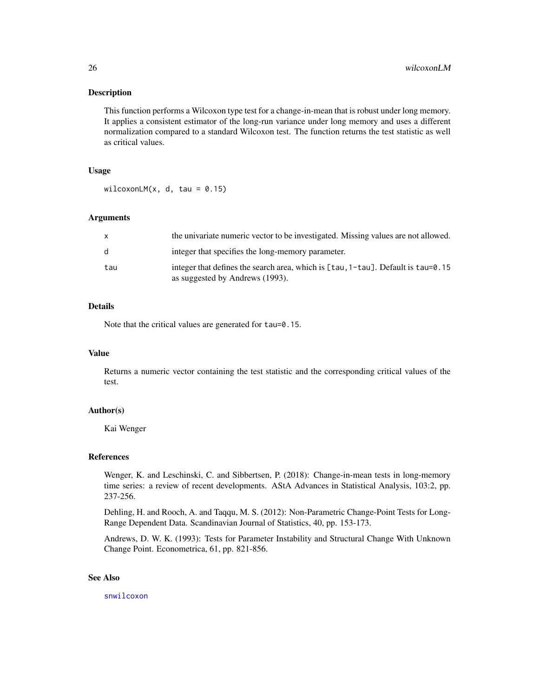# <span id="page-25-0"></span>Description

This function performs a Wilcoxon type test for a change-in-mean that is robust under long memory. It applies a consistent estimator of the long-run variance under long memory and uses a different normalization compared to a standard Wilcoxon test. The function returns the test statistic as well as critical values.

# Usage

wilcoxonLM $(x, d, tau = 0.15)$ 

# Arguments

| X            | the univariate numeric vector to be investigated. Missing values are not allowed.                                                        |
|--------------|------------------------------------------------------------------------------------------------------------------------------------------|
| <sub>d</sub> | integer that specifies the long-memory parameter.                                                                                        |
| tau          | integer that defines the search area, which is $\lceil \tan 1 - \tan \rceil$ . Default is $\tan 9.15$<br>as suggested by Andrews (1993). |

# Details

Note that the critical values are generated for tau=0.15.

#### Value

Returns a numeric vector containing the test statistic and the corresponding critical values of the test.

#### Author(s)

Kai Wenger

# References

Wenger, K. and Leschinski, C. and Sibbertsen, P. (2018): Change-in-mean tests in long-memory time series: a review of recent developments. AStA Advances in Statistical Analysis, 103:2, pp. 237-256.

Dehling, H. and Rooch, A. and Taqqu, M. S. (2012): Non-Parametric Change-Point Tests for Long-Range Dependent Data. Scandinavian Journal of Statistics, 40, pp. 153-173.

Andrews, D. W. K. (1993): Tests for Parameter Instability and Structural Change With Unknown Change Point. Econometrica, 61, pp. 821-856.

# See Also

[snwilcoxon](#page-23-1)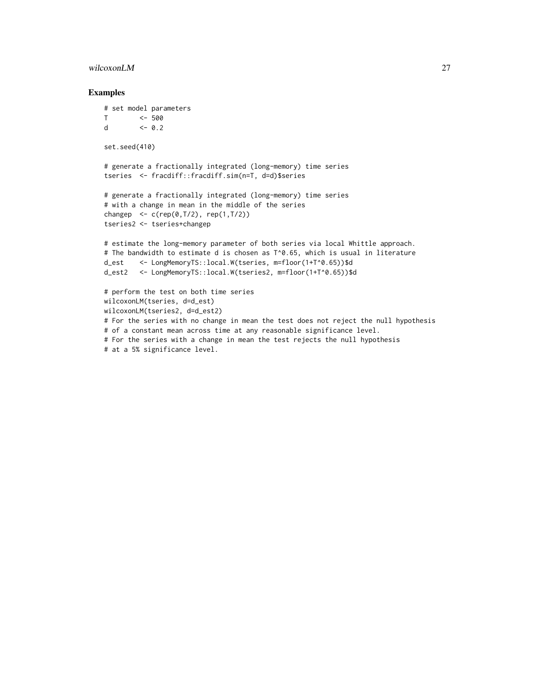#### wilcoxonLM 27

#### Examples

```
# set model parameters
T <- 500
d <- 0.2
set.seed(410)
# generate a fractionally integrated (long-memory) time series
tseries <- fracdiff::fracdiff.sim(n=T, d=d)$series
# generate a fractionally integrated (long-memory) time series
# with a change in mean in the middle of the series
changep <- c(rep(0,T/2), rep(1,T/2))
tseries2 <- tseries+changep
# estimate the long-memory parameter of both series via local Whittle approach.
# The bandwidth to estimate d is chosen as T^0.65, which is usual in literature
d_est <- LongMemoryTS::local.W(tseries, m=floor(1+T^0.65))$d
d_est2 <- LongMemoryTS::local.W(tseries2, m=floor(1+T^0.65))$d
# perform the test on both time series
wilcoxonLM(tseries, d=d_est)
wilcoxonLM(tseries2, d=d_est2)
# For the series with no change in mean the test does not reject the null hypothesis
# of a constant mean across time at any reasonable significance level.
# For the series with a change in mean the test rejects the null hypothesis
# at a 5% significance level.
```